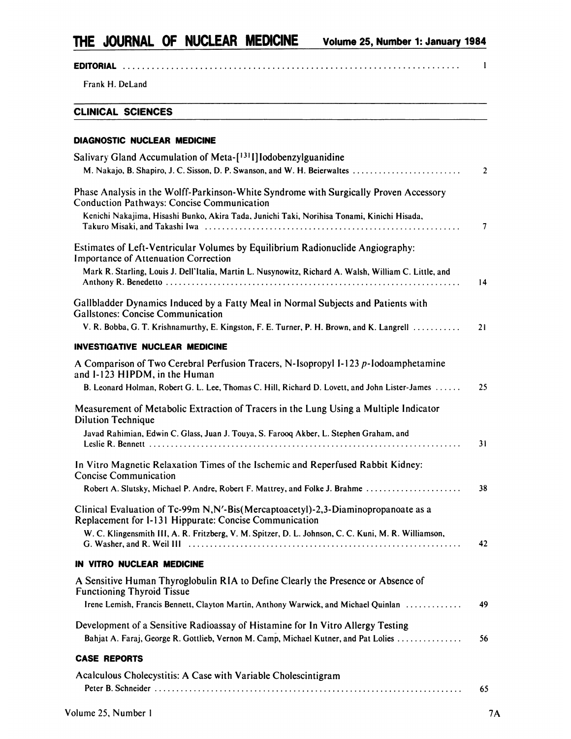## **EDITORIAL I**

**Frank H. DeLand**

### **CLINICAL SCIENCES**

#### **DIAGNOSTIC NUCLEAR MEDICINE**

| Salivary Gland Accumulation of Meta-[1311] Iodobenzylguanidine                                                                                                         |                |
|------------------------------------------------------------------------------------------------------------------------------------------------------------------------|----------------|
| M. Nakajo, B. Shapiro, J. C. Sisson, D. P. Swanson, and W. H. Beierwaltes                                                                                              | $\overline{2}$ |
| Phase Analysis in the Wolff-Parkinson-White Syndrome with Surgically Proven Accessory<br><b>Conduction Pathways: Concise Communication</b>                             |                |
| Kenichi Nakajima, Hisashi Bunko, Akira Tada, Junichi Taki, Norihisa Tonami, Kinichi Hisada,                                                                            | 7              |
| Estimates of Left-Ventricular Volumes by Equilibrium Radionuclide Angiography:<br><b>Importance of Attenuation Correction</b>                                          |                |
| Mark R. Starling, Louis J. Dell'Italia, Martin L. Nusynowitz, Richard A. Walsh, William C. Little, and                                                                 | 14             |
| Gallbladder Dynamics Induced by a Fatty Meal in Normal Subjects and Patients with<br><b>Gallstones: Concise Communication</b>                                          |                |
| V. R. Bobba, G. T. Krishnamurthy, E. Kingston, F. E. Turner, P. H. Brown, and K. Langrell                                                                              | 21             |
| INVESTIGATIVE NUCLEAR MEDICINE                                                                                                                                         |                |
| A Comparison of Two Cerebral Perfusion Tracers, N-Isopropyl I-123 p-Iodoamphetamine<br>and I-123 HIPDM, in the Human                                                   |                |
| B. Leonard Holman, Robert G. L. Lee, Thomas C. Hill, Richard D. Lovett, and John Lister-James                                                                          | 25             |
| Measurement of Metabolic Extraction of Tracers in the Lung Using a Multiple Indicator<br><b>Dilution Technique</b>                                                     |                |
| Javad Rahimian, Edwin C. Glass, Juan J. Touya, S. Farooq Akber, L. Stephen Graham, and                                                                                 | 31             |
| In Vitro Magnetic Relaxation Times of the Ischemic and Reperfused Rabbit Kidney:<br><b>Concise Communication</b>                                                       |                |
| Robert A. Slutsky, Michael P. Andre, Robert F. Mattrey, and Folke J. Brahme                                                                                            | 38             |
| Clinical Evaluation of Tc-99m N,N'-Bis(Mercaptoacetyl)-2,3-Diaminopropanoate as a<br>Replacement for I-131 Hippurate: Concise Communication                            |                |
| W. C. Klingensmith III, A. R. Fritzberg, V. M. Spitzer, D. L. Johnson, C. C. Kuni, M. R. Williamson,                                                                   | 42             |
| IN VITRO NUCLEAR MEDICINE                                                                                                                                              |                |
| A Sensitive Human Thyroglobulin RIA to Define Clearly the Presence or Absence of<br><b>Functioning Thyroid Tissue</b>                                                  |                |
| Irene Lemish, Francis Bennett, Clayton Martin, Anthony Warwick, and Michael Quinlan                                                                                    | 49             |
| Development of a Sensitive Radioassay of Histamine for In Vitro Allergy Testing<br>Bahjat A. Faraj, George R. Gottlieb, Vernon M. Camp, Michael Kutner, and Pat Lolies | 56             |
| <b>CASE REPORTS</b>                                                                                                                                                    |                |
| Acalculous Cholecystitis: A Case with Variable Cholescintigram                                                                                                         |                |
|                                                                                                                                                                        | 65             |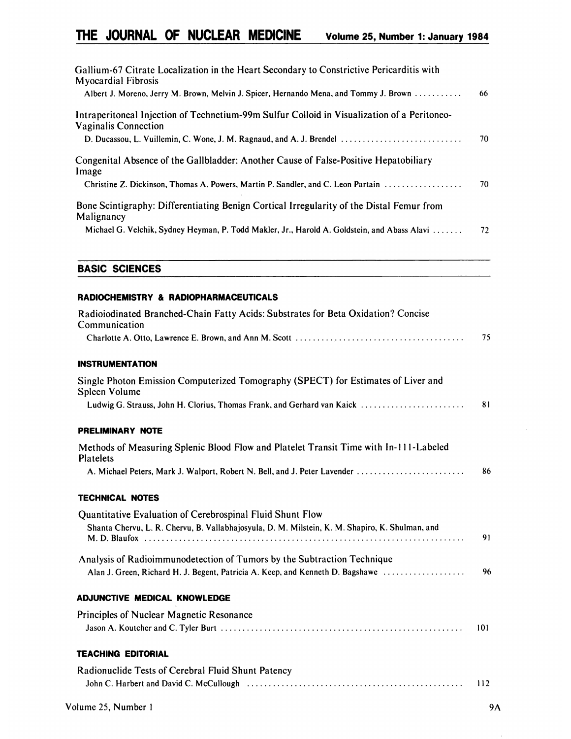| Gallium-67 Citrate Localization in the Heart Secondary to Constrictive Pericarditis with<br><b>Myocardial Fibrosis</b> |    |
|------------------------------------------------------------------------------------------------------------------------|----|
| Albert J. Moreno, Jerry M. Brown, Melvin J. Spicer, Hernando Mena, and Tommy J. Brown                                  | 66 |
| Intraperitoneal Injection of Technetium-99m Sulfur Colloid in Visualization of a Peritoneo-<br>Vaginalis Connection    |    |
|                                                                                                                        | 70 |
| Congenital Absence of the Gallbladder: Another Cause of False-Positive Hepatobiliary<br>Image                          |    |
| Christine Z. Dickinson, Thomas A. Powers, Martin P. Sandler, and C. Leon Partain                                       | 70 |
| Bone Scintigraphy: Differentiating Benign Cortical Irregularity of the Distal Femur from<br>Malignancy                 |    |
| Michael G. Velchik, Sydney Heyman, P. Todd Makler, Jr., Harold A. Goldstein, and Abass Alavi                           | 72 |

# **BASIC SCIENCES**

## **RADIOCHEMISTRY& RADIOPHARMACEUTICALS**

| Radioiodinated Branched-Chain Fatty Acids: Substrates for Beta Oxidation? Concise<br>Communication |     |
|----------------------------------------------------------------------------------------------------|-----|
|                                                                                                    | 75  |
| <b>INSTRUMENTATION</b>                                                                             |     |
| Single Photon Emission Computerized Tomography (SPECT) for Estimates of Liver and<br>Spleen Volume |     |
| Ludwig G. Strauss, John H. Clorius, Thomas Frank, and Gerhard van Kaick                            | 81  |
| PRELIMINARY NOTE                                                                                   |     |
| Methods of Measuring Splenic Blood Flow and Platelet Transit Time with In-111-Labeled<br>Platelets |     |
| A. Michael Peters, Mark J. Walport, Robert N. Bell, and J. Peter Lavender                          | 86  |
| <b>TECHNICAL NOTES</b>                                                                             |     |
| Quantitative Evaluation of Cerebrospinal Fluid Shunt Flow                                          |     |
| Shanta Chervu, L. R. Chervu, B. Vallabhajosyula, D. M. Milstein, K. M. Shapiro, K. Shulman, and    | 91  |
| Analysis of Radioimmunodetection of Tumors by the Subtraction Technique                            |     |
| Alan J. Green, Richard H. J. Begent, Patricia A. Keep, and Kenneth D. Bagshawe                     | 96  |
| <b>ADJUNCTIVE MEDICAL KNOWLEDGE</b>                                                                |     |
| Principles of Nuclear Magnetic Resonance                                                           |     |
|                                                                                                    | 101 |
| <b>TEACHING EDITORIAL</b>                                                                          |     |
| Radionuclide Tests of Cerebral Fluid Shunt Patency                                                 | 112 |